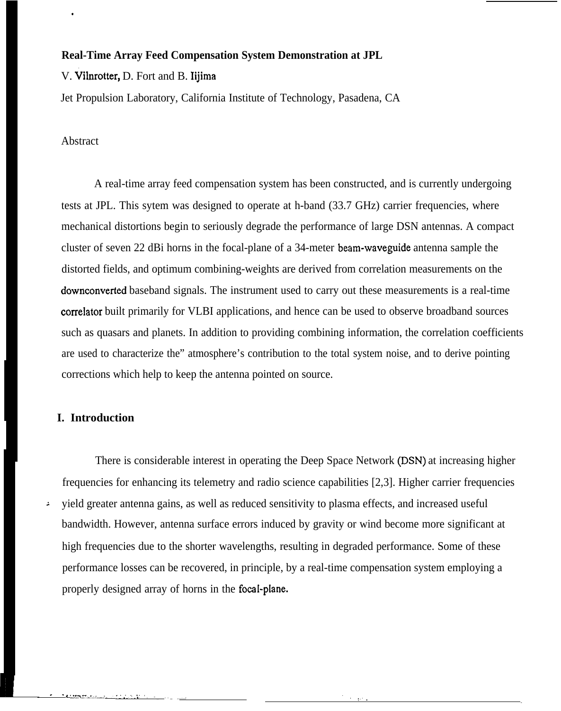# **Real-Time Array Feed Compensation System Demonstration at JPL**

### V. Vilnrotter, D. Fort and B. Iijima

Jet Propulsion Laboratory, California Institute of Technology, Pasadena, CA

# Abstract

.

A real-time array feed compensation system has been constructed, and is currently undergoing tests at JPL. This sytem was designed to operate at h-band (33.7 GHz) carrier frequencies, where mechanical distortions begin to seriously degrade the performance of large DSN antennas. A compact cluster of seven 22 dBi horns in the focal-plane of a 34-meter beam-waveguide antenna sample the distorted fields, and optimum combining-weights are derived from correlation measurements on the downconverted baseband signals. The instrument used to carry out these measurements is a real-time correlator built primarily for VLBI applications, and hence can be used to observe broadband sources such as quasars and planets. In addition to providing combining information, the correlation coefficients are used to characterize the" atmosphere's contribution to the total system noise, and to derive pointing corrections which help to keep the antenna pointed on source.

# **I. Introduction**

. . , ..:X=,.,,

-- ,,.'---- '. -\_ ..\_ .,

There is considerable interest in operating the Deep Space Network (DSN) at increasing higher frequencies for enhancing its telemetry and radio science capabilities [2,3]. Higher carrier frequencies <sup>~</sup> yield greater antenna gains, as well as reduced sensitivity to plasma effects, and increased useful bandwidth. However, antenna surface errors induced by gravity or wind become more significant at high frequencies due to the shorter wavelengths, resulting in degraded performance. Some of these performance losses can be recovered, in principle, by a real-time compensation system employing a properly designed array of horns in the focal-plane.

> . ,:, ,

-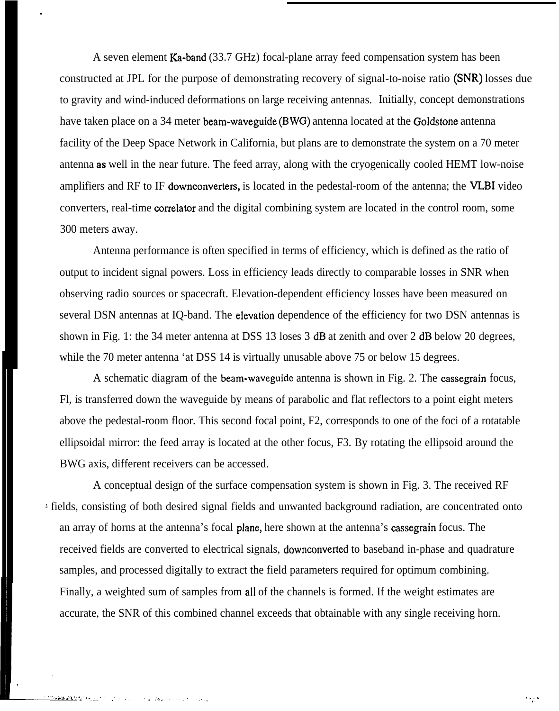A seven element Ka-band (33.7 GHz) focal-plane array feed compensation system has been constructed at JPL for the purpose of demonstrating recovery of signal-to-noise ratio (SNR) losses due to gravity and wind-induced deformations on large receiving antennas. Initially, concept demonstrations have taken place on a 34 meter beam-waveguide (BWG) antenna located at the Goldstone antenna facility of the Deep Space Network in California, but plans are to demonstrate the system on a 70 meter antenna as well in the near future. The feed array, along with the cryogenically cooled HEMT low-noise amplifiers and RF to IF downconverters, is located in the pedestal-room of the antenna; the VLBI video converters, real-time correlator and the digital combining system are located in the control room, some 300 meters away.

Antenna performance is often specified in terms of efficiency, which is defined as the ratio of output to incident signal powers. Loss in efficiency leads directly to comparable losses in SNR when observing radio sources or spacecraft. Elevation-dependent efficiency losses have been measured on several DSN antennas at IQ-band. The elevation dependence of the efficiency for two DSN antennas is shown in Fig. 1: the 34 meter antenna at DSS 13 loses 3 dB at zenith and over 2 dB below 20 degrees, while the 70 meter antenna 'at DSS 14 is virtually unusable above 75 or below 15 degrees.

A schematic diagram of the beam-waveguide antenna is shown in Fig. 2. The cassegrain focus, Fl, is transferred down the waveguide by means of parabolic and flat reflectors to a point eight meters above the pedestal-room floor. This second focal point, F2, corresponds to one of the foci of a rotatable ellipsoidal mirror: the feed array is located at the other focus, F3. By rotating the ellipsoid around the BWG axis, different receivers can be accessed.

A conceptual design of the surface compensation system is shown in Fig. 3. The received RF ' fields, consisting of both desired signal fields and unwanted background radiation, are concentrated onto an array of horns at the antenna's focal plane, here shown at the antenna's cassegrain focus. The received fields are converted to electrical signals, downconverted to baseband in-phase and quadrature samples, and processed digitally to extract the field parameters required for optimum combining. Finally, a weighted sum of samples from all of the channels is formed. If the weight estimates are accurate, the SNR of this combined channel exceeds that obtainable with any single receiving horn.

.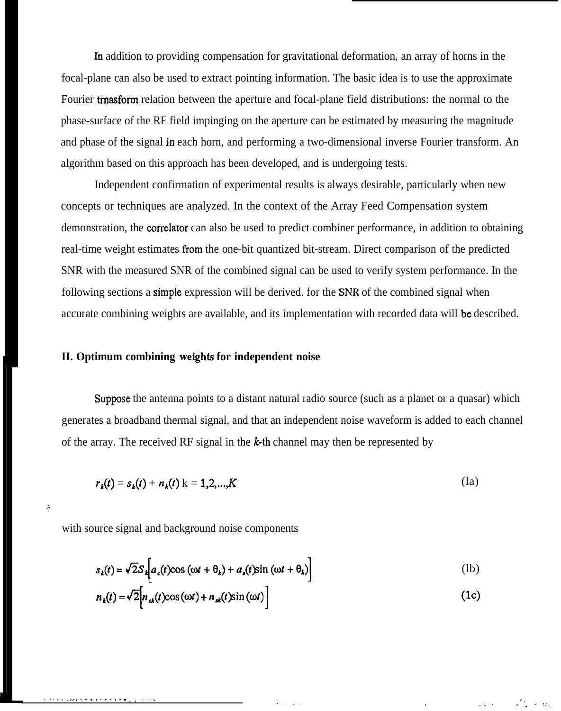In addition to providing compensation for gravitational deformation, an array of horns in the focal-plane can also be used to extract pointing information. The basic idea is to use the approximate Fourier tmasform relation between the aperture and focal-plane field distributions: the normal to the phase-surface of the RF field impinging on the aperture can be estimated by measuring the magnitude and phase of the signal in each horn, and performing a two-dimensional inverse Fourier transform. An algorithm based on this approach has been developed, and is undergoing tests.

Independent confirmation of experimental results is always desirable, particularly when new concepts or techniques are analyzed. In the context of the Array Feed Compensation system demonstration, the correlator can also be used to predict combiner performance, in addition to obtaining real-time weight estimates from the one-bit quantized bit-stream. Direct comparison of the predicted SNR with the measured SNR of the combined signal can be used to verify system performance. In the following sections a **simple** expression will be derived. for the SNR of the combined signal when accurate combining weights are available, and its implementation with recorded data will be described.

# **II. Optimum combining weights for independent noise**

Suppose the antenna points to a distant natural radio source (such as a planet or a quasar) which generates a broadband thermal signal, and that an independent noise waveform is added to each channel of the array. The received RF signal in the  $k$ -th channel may then be represented by

$$
r_k(t) = s_k(t) + n_k(t) \, \text{K} = 1, 2, \dots, K \tag{1a}
$$

with source signal and background noise components

 $\ddot{z}$ 

.<br>بر برای ای از ۱۳۸<del>۰ - ۱۳۸۰ - ۱۳۸۰ - ۱۳۸۰ - ۱۳۸۰ - ۱۳۸۰</del>

$$
s_k(t) = \sqrt{2}S_k \bigg[ a_c(t) \cos(\omega t + \theta_k) + a_s(t) \sin(\omega t + \theta_k) \bigg]
$$
 (1b)

$$
n_{k}(t) = \sqrt{2} \Big[ n_{ck}(t) \cos{(\omega t)} + n_{sk}(t) \sin{(\omega t)} \Big]
$$
 (1c)

,,

.,. , . . .

. ,,.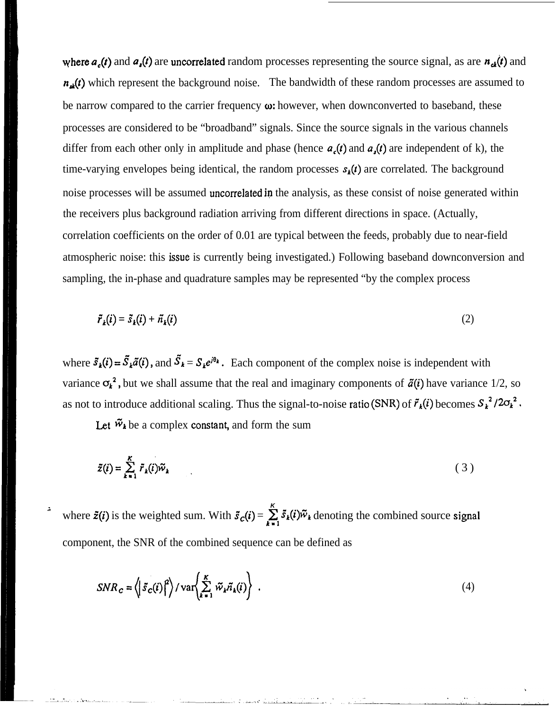where  $a_c(t)$  and  $a_s(t)$  are uncorrelated random processes representing the source signal, as are  $n_{c}(t)$  and  $n_{\mathbf{x}}(t)$  which represent the background noise. The bandwidth of these random processes are assumed to be narrow compared to the carrier frequency  $\omega$ : however, when downconverted to baseband, these processes are considered to be "broadband" signals. Since the source signals in the various channels differ from each other only in amplitude and phase (hence  $a_c(t)$  and  $a_s(t)$  are independent of k), the time-varying envelopes being identical, the random processes  $s_k(t)$  are correlated. The background noise processes will be assumed uncorrelated in the analysis, as these consist of noise generated within the receivers plus background radiation arriving from different directions in space. (Actually, correlation coefficients on the order of 0.01 are typical between the feeds, probably due to near-field atmospheric noise: this issue is currently being investigated.) Following baseband downconversion and sampling, the in-phase and quadrature samples may be represented "by the complex process

$$
\tilde{r}_k(i) = \tilde{s}_k(i) + \tilde{n}_k(i) \tag{2}
$$

where  $\bar{s}_k(i) = \bar{S}_k \tilde{a}(i)$ , and  $\bar{S}_k = S_k e^{i\theta_k}$ . Each component of the complex noise is independent with variance  $\sigma_k^2$ , but we shall assume that the real and imaginary components of  $\tilde{a}(i)$  have variance 1/2, so as not to introduce additional scaling. Thus the signal-to-noise ratio (SNR) of  $\tilde{r}_k(i)$  becomes  $S_k^2 / 2\sigma_k^2$ .

Let  $\tilde{w}_k$  be a complex constant, and form the sum

$$
\tilde{z}(i) = \sum_{k=1}^{K} \tilde{r}_k(i)\tilde{w}_k
$$
 (3)

; **<sup>K</sup>** where  $\tilde{z}(i)$  is the weighted sum. With  $\tilde{s}_c(i) = \sum \tilde{s}_k(i)\tilde{w}_k$  denoting the combined source signal component, the SNR of the combined sequence can be defined as

$$
SNR_c = \left\langle \left| \tilde{s}_c(i) \right|^2 \right\rangle / \text{var} \left\langle \sum_{k=1}^K \tilde{w}_k \tilde{n}_k(i) \right\rangle \tag{4}
$$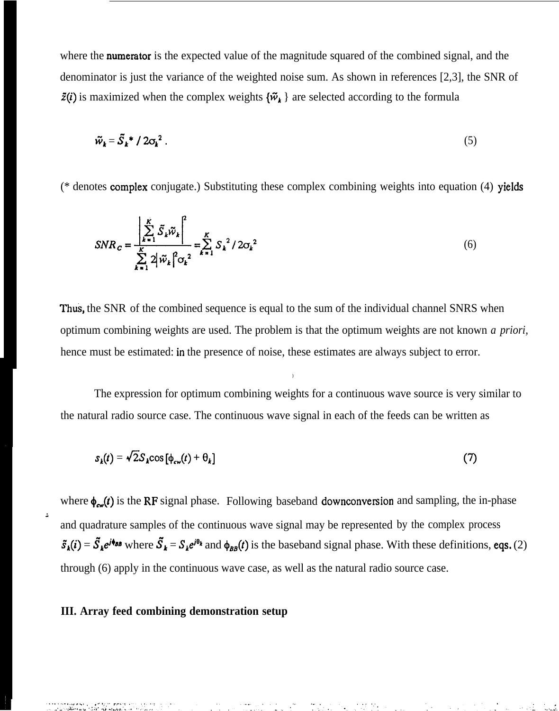where the **numerator** is the expected value of the magnitude squared of the combined signal, and the denominator is just the variance of the weighted noise sum. As shown in references [2,3], the SNR of  $\zeta(i)$  is maximized when the complex weights  $\{\tilde{w}_k\}$  are selected according to the formula

$$
\widetilde{w}_k = \widetilde{S}_k^* / 2\sigma_k^2 \,. \tag{5}
$$

 $(*$  denotes complex conjugate.) Substituting these complex combining weights into equation (4) yields

$$
SNR_{c} = \frac{\left|\sum_{k=1}^{K} \tilde{S}_{k} \tilde{w}_{k}\right|^{2}}{\sum_{k=1}^{K} 2 |\tilde{w}_{k}|^{2} |\sigma_{k}|^{2}} = \sum_{k=1}^{K} S_{k}^{2} / 2 \sigma_{k}^{2}
$$
(6)

Thus, the SNR of the combined sequence is equal to the sum of the individual channel SNRS when optimum combining weights are used. The problem is that the optimum weights are not known *a priori,* hence must be estimated: in the presence of noise, these estimates are always subject to error.

The expression for optimum combining weights for a continuous wave source is very similar to the natural radio source case. The continuous wave signal in each of the feeds can be written as

)

$$
s_k(t) = \sqrt{2} S_k \cos \left[ \phi_{\text{cv}}(t) + \theta_k \right] \tag{7}
$$

where  $\phi_{\text{cav}}(t)$  is the RF signal phase. Following baseband downconversion and sampling, the in-phase and quadrature samples of the continuous wave signal may be represented by the complex process  $\tilde{s}_k(i) = \tilde{S}_k e^{i\phi_{\theta k}}$  where  $\tilde{S}_k = S_k e^{i\theta_k}$  and  $\phi_{BB}(t)$  is the baseband signal phase. With these definitions, eqs. (2) through (6) apply in the continuous wave case, as well as the natural radio source case.

# **III. Array feed combining demonstration setup**

~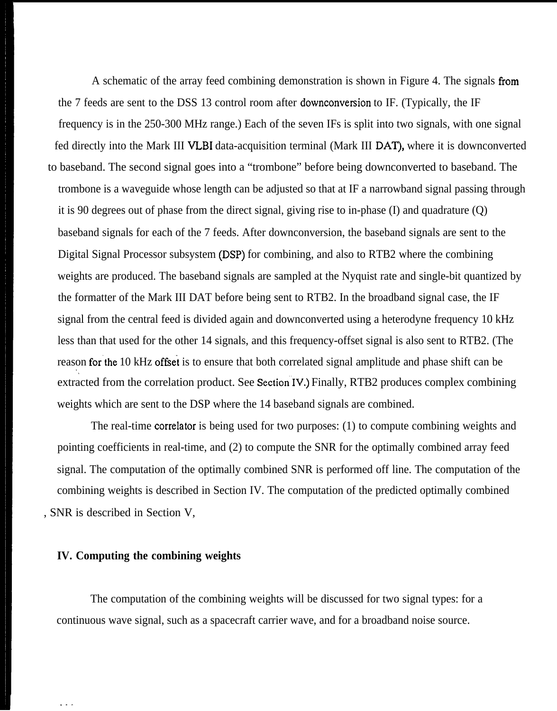A schematic of the array feed combining demonstration is shown in Figure 4. The signals from the 7 feeds are sent to the DSS 13 control room after downconversion to IF. (Typically, the IF frequency is in the 250-300 MHz range.) Each of the seven IFs is split into two signals, with one signal fed directly into the Mark III VLBI data-acquisition terminal (Mark III DAT), where it is downconverted to baseband. The second signal goes into a "trombone" before being downconverted to baseband. The trombone is a waveguide whose length can be adjusted so that at IF a narrowband signal passing through it is 90 degrees out of phase from the direct signal, giving rise to in-phase (I) and quadrature (Q) baseband signals for each of the 7 feeds. After downconversion, the baseband signals are sent to the Digital Signal Processor subsystem (DSP) for combining, and also to RTB2 where the combining weights are produced. The baseband signals are sampled at the Nyquist rate and single-bit quantized by the formatter of the Mark III DAT before being sent to RTB2. In the broadband signal case, the IF signal from the central feed is divided again and downconverted using a heterodyne frequency 10 kHz less than that used for the other 14 signals, and this frequency-offset signal is also sent to RTB2. (The reason for the 10 kHz offset is to ensure that both correlated signal amplitude and phase shift can be '. extracted from the correlation product. See Section IV.) Finally, RTB2 produces complex combining weights which are sent to the DSP where the 14 baseband signals are combined.

The real-time correlator is being used for two purposes: (1) to compute combining weights and pointing coefficients in real-time, and (2) to compute the SNR for the optimally combined array feed signal. The computation of the optimally combined SNR is performed off line. The computation of the combining weights is described in Section IV. The computation of the predicted optimally combined , SNR is described in Section V,

#### **IV. Computing the combining weights**

. . .

The computation of the combining weights will be discussed for two signal types: for a continuous wave signal, such as a spacecraft carrier wave, and for a broadband noise source.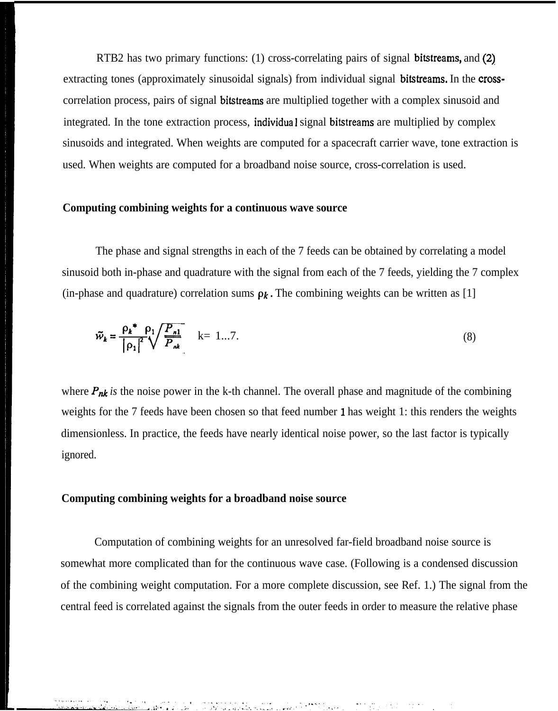RTB2 has two primary functions: (1) cross-correlating pairs of signal bitstreams, and (2) extracting tones (approximately sinusoidal signals) from individual signal **bitstreams.** In the **cross**correlation process, pairs of signal bitstreams are multiplied together with a complex sinusoid and integrated. In the tone extraction process, individua 1 signal bitstreams are multiplied by complex sinusoids and integrated. When weights are computed for a spacecraft carrier wave, tone extraction is used. When weights are computed for a broadband noise source, cross-correlation is used.

## **Computing combining weights for a continuous wave source**

The phase and signal strengths in each of the 7 feeds can be obtained by correlating a model sinusoid both in-phase and quadrature with the signal from each of the 7 feeds, yielding the 7 complex (in-phase and quadrature) correlation sums  $\rho_k$ . The combining weights can be written as [1]

The combining weights can be written as [1]  
\n
$$
\tilde{w}_{k} = \frac{\rho_{k}^{*} - \rho_{1}}{|\rho_{1}|^{2}} \sqrt{\frac{P_{n1}}{P_{nk}}}
$$
\n
$$
k = 1...7.
$$
\n(8)

where  $P_{nk}$  is the noise power in the k-th channel. The overall phase and magnitude of the combining weights for the 7 feeds have been chosen so that feed number 1 has weight 1: this renders the weights dimensionless. In practice, the feeds have nearly identical noise power, so the last factor is typically ignored.

#### **Computing combining weights for a broadband noise source**

Computation of combining weights for an unresolved far-field broadband noise source is somewhat more complicated than for the continuous wave case. (Following is a condensed discussion of the combining weight computation. For a more complete discussion, see Ref. 1.) The signal from the central feed is correlated against the signals from the outer feeds in order to measure the relative phase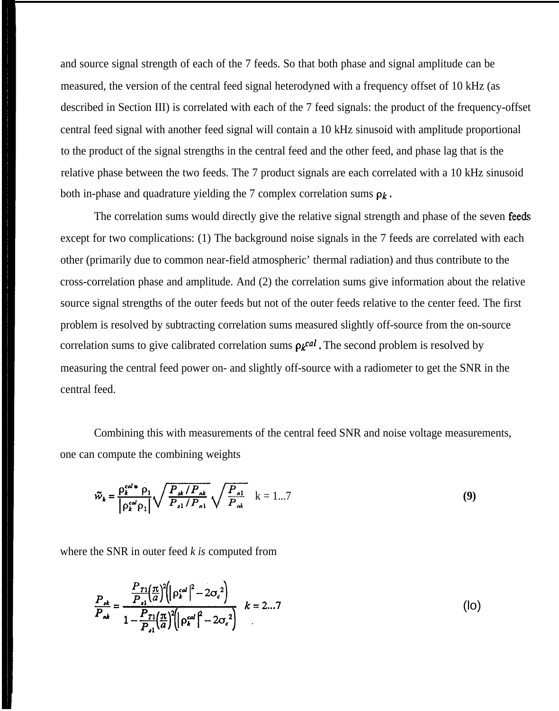and source signal strength of each of the 7 feeds. So that both phase and signal amplitude can be measured, the version of the central feed signal heterodyned with a frequency offset of 10 kHz (as described in Section III) is correlated with each of the 7 feed signals: the product of the frequency-offset central feed signal with another feed signal will contain a 10 kHz sinusoid with amplitude proportional to the product of the signal strengths in the central feed and the other feed, and phase lag that is the relative phase between the two feeds. The 7 product signals are each correlated with a 10 kHz sinusoid both in-phase and quadrature yielding the 7 complex correlation sums  $\rho_k$ .

The correlation sums would directly give the relative signal strength and phase of the seven feeds except for two complications: (1) The background noise signals in the 7 feeds are correlated with each other (primarily due to common near-field atmospheric' thermal radiation) and thus contribute to the cross-correlation phase and amplitude. And (2) the correlation sums give information about the relative source signal strengths of the outer feeds but not of the outer feeds relative to the center feed. The first problem is resolved by subtracting correlation sums measured slightly off-source from the on-source correlation sums to give calibrated correlation sums  $\rho_k$ <sup>cal</sup>. The second problem is resolved by measuring the central feed power on- and slightly off-source with a radiometer to get the SNR in the central feed.

Combining this with measurements of the central feed SNR and noise voltage measurements, one can compute the combining weights

$$
\tilde{w}_{k} = \frac{\rho_{k}^{cal} * \rho_{1}}{|\rho_{k}^{cal} \rho_{1}|} \sqrt{\frac{P_{sk}/P_{nk}}{P_{n1}/P_{n1}}} \sqrt{\frac{P_{nl}}{P_{nk}}} \quad k = 1...7
$$
\n(9)

where the SNR in outer feed *k is* computed from

$$
\frac{P_{ik}}{P_{nk}} = \frac{\frac{P_{T1}(\pi)}{P_{i1}(\pi)}^{2} \left( |\rho_k^{cal}|^2 - 2\sigma_c^2 \right)}{1 - \frac{P_{T1}(\pi)}{P_{i1}(\pi)}^{2} \left( |\rho_k^{cal}|^2 - 2\sigma_c^2 \right)} \quad k = 2...7
$$
\n(10)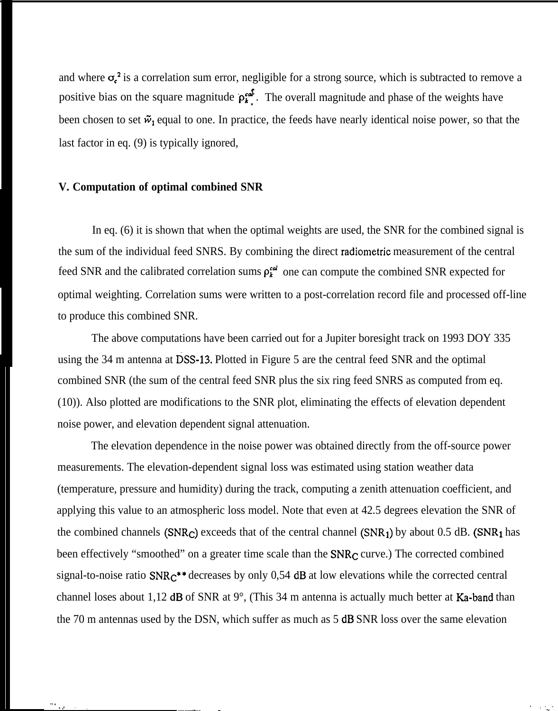and where  $\sigma_c^2$  is a correlation sum error, negligible for a strong source, which is subtracted to remove a positive bias on the square magnitude  $p_i^{cd}$ . The overall magnitude and phase of the weights have been chosen to set  $\tilde{w}_1$  equal to one. In practice, the feeds have nearly identical noise power, so that the last factor in eq. (9) is typically ignored,

# **V. Computation of optimal combined SNR**

In eq. (6) it is shown that when the optimal weights are used, the SNR for the combined signal is the sum of the individual feed SNRS. By combining the direct radiometric measurement of the central feed SNR and the calibrated correlation sums  $\rho_{\mathbf{k}}^{\mathbf{c}d}$  one can compute the combined SNR expected for optimal weighting. Correlation sums were written to a post-correlation record file and processed off-line to produce this combined SNR.

The above computations have been carried out for a Jupiter boresight track on 1993 DOY 335 using the 34 m antenna at DSS-13. Plotted in Figure 5 are the central feed SNR and the optimal combined SNR (the sum of the central feed SNR plus the six ring feed SNRS as computed from eq. (10)). Also plotted are modifications to the SNR plot, eliminating the effects of elevation dependent noise power, and elevation dependent signal attenuation.

The elevation dependence in the noise power was obtained directly from the off-source power measurements. The elevation-dependent signal loss was estimated using station weather data (temperature, pressure and humidity) during the track, computing a zenith attenuation coefficient, and applying this value to an atmospheric loss model. Note that even at 42.5 degrees elevation the SNR of the combined channels (SNR<sub>C</sub>) exceeds that of the central channel (SNR<sub>1</sub>) by about 0.5 dB. (SNR<sub>1</sub> has been effectively "smoothed" on a greater time scale than the  $SNR<sub>C</sub>$  curve.) The corrected combined signal-to-noise ratio  $SNR<sub>C</sub>**$  decreases by only 0,54 dB at low elevations while the corrected central channel loses about 1,12 dB of SNR at 9°, (This 34 m antenna is actually much better at Ka-band than the 70 m antennas used by the DSN, which suffer as much as 5 dB SNR loss over the same elevation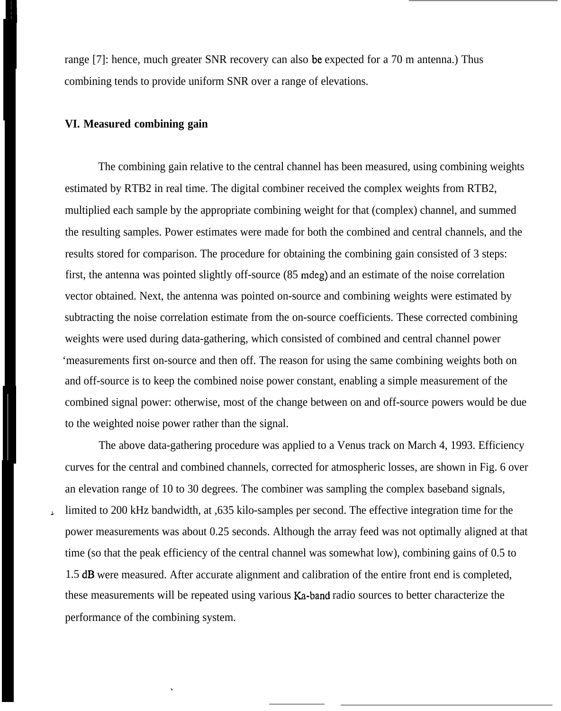range [7]: hence, much greater SNR recovery can also be expected for a 70 m antenna.) Thus combining tends to provide uniform SNR over a range of elevations.

# **VI. Measured combining gain**

.

The combining gain relative to the central channel has been measured, using combining weights estimated by RTB2 in real time. The digital combiner received the complex weights from RTB2, multiplied each sample by the appropriate combining weight for that (complex) channel, and summed the resulting samples. Power estimates were made for both the combined and central channels, and the results stored for comparison. The procedure for obtaining the combining gain consisted of 3 steps: first, the antenna was pointed slightly off-source (85 mdeg) and an estimate of the noise correlation vector obtained. Next, the antenna was pointed on-source and combining weights were estimated by subtracting the noise correlation estimate from the on-source coefficients. These corrected combining weights were used during data-gathering, which consisted of combined and central channel power 'measurements first on-source and then off. The reason for using the same combining weights both on and off-source is to keep the combined noise power constant, enabling a simple measurement of the combined signal power: otherwise, most of the change between on and off-source powers would be due to the weighted noise power rather than the signal.

The above data-gathering procedure was applied to a Venus track on March 4, 1993. Efficiency curves for the central and combined channels, corrected for atmospheric losses, are shown in Fig. 6 over an elevation range of 10 to 30 degrees. The combiner was sampling the complex baseband signals, limited to 200 kHz bandwidth, at ,635 kilo-samples per second. The effective integration time for the power measurements was about 0.25 seconds. Although the array feed was not optimally aligned at that time (so that the peak efficiency of the central channel was somewhat low), combining gains of 0.5 to 1.5 dB were measured. After accurate alignment and calibration of the entire front end is completed, these measurements will be repeated using various Ka-band radio sources to better characterize the performance of the combining system.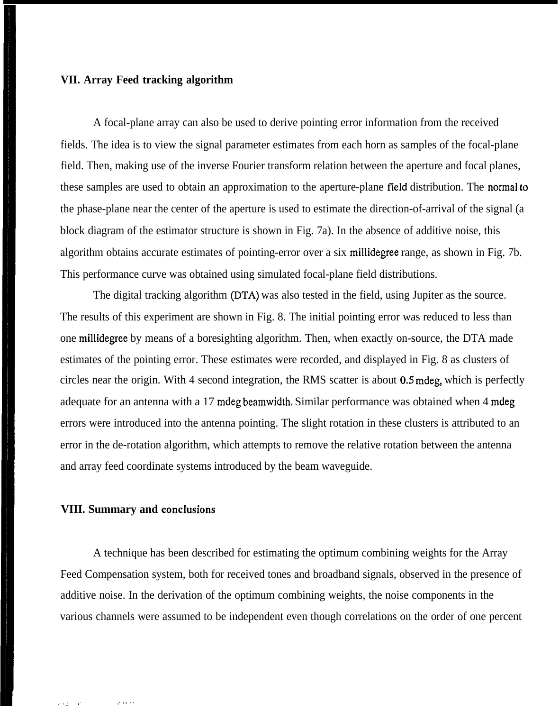### **VII. Array Feed tracking algorithm**

A focal-plane array can also be used to derive pointing error information from the received fields. The idea is to view the signal parameter estimates from each horn as samples of the focal-plane field. Then, making use of the inverse Fourier transform relation between the aperture and focal planes, these samples are used to obtain an approximation to the aperture-plane field distribution. The normaI to the phase-plane near the center of the aperture is used to estimate the direction-of-arrival of the signal (a block diagram of the estimator structure is shown in Fig. 7a). In the absence of additive noise, this algorithm obtains accurate estimates of pointing-error over a six millidegree range, as shown in Fig. 7b. This performance curve was obtained using simulated focal-plane field distributions.

The digital tracking algorithm (DTA) was also tested in the field, using Jupiter as the source. The results of this experiment are shown in Fig. 8. The initial pointing error was reduced to less than one millidegree by means of a boresighting algorithm. Then, when exactly on-source, the DTA made estimates of the pointing error. These estimates were recorded, and displayed in Fig. 8 as clusters of circles near the origin. With 4 second integration, the RMS scatter is about 0.5 mdeg, which is perfectly adequate for an antenna with a 17 mdeg beamwidth. Similar performance was obtained when 4 mdeg errors were introduced into the antenna pointing. The slight rotation in these clusters is attributed to an error in the de-rotation algorithm, which attempts to remove the relative rotation between the antenna and array feed coordinate systems introduced by the beam waveguide.

# **VIII. Summary and conclusions**

A technique has been described for estimating the optimum combining weights for the Array Feed Compensation system, both for received tones and broadband signals, observed in the presence of additive noise. In the derivation of the optimum combining weights, the noise components in the various channels were assumed to be independent even though correlations on the order of one percent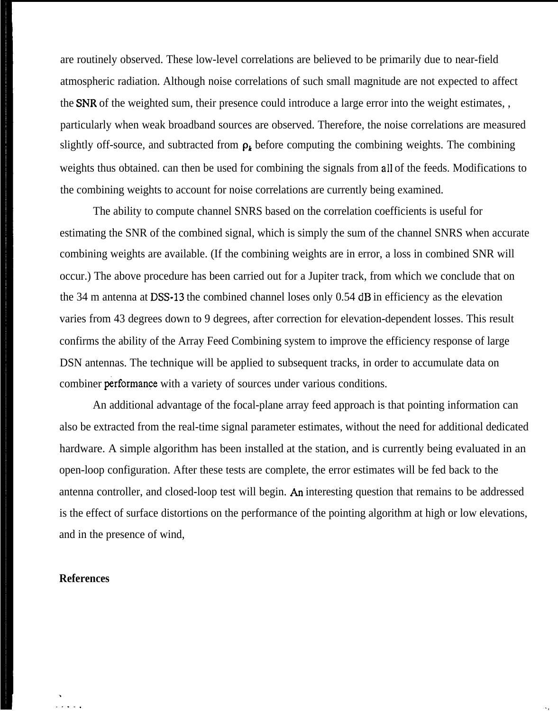are routinely observed. These low-level correlations are believed to be primarily due to near-field atmospheric radiation. Although noise correlations of such small magnitude are not expected to affect the SNR of the weighted sum, their presence could introduce a large error into the weight estimates, , particularly when weak broadband sources are observed. Therefore, the noise correlations are measured slightly off-source, and subtracted from  $\rho_k$  before computing the combining weights. The combining weights thus obtained. can then be used for combining the signals from all of the feeds. Modifications to the combining weights to account for noise correlations are currently being examined.

The ability to compute channel SNRS based on the correlation coefficients is useful for estimating the SNR of the combined signal, which is simply the sum of the channel SNRS when accurate combining weights are available. (If the combining weights are in error, a loss in combined SNR will occur.) The above procedure has been carried out for a Jupiter track, from which we conclude that on the 34 m antenna at DSS-13 the combined channel loses only 0.54 dB in efficiency as the elevation varies from 43 degrees down to 9 degrees, after correction for elevation-dependent losses. This result confirms the ability of the Array Feed Combining system to improve the efficiency response of large DSN antennas. The technique will be applied to subsequent tracks, in order to accumulate data on combiner performance with a variety of sources under various conditions.

An additional advantage of the focal-plane array feed approach is that pointing information can also be extracted from the real-time signal parameter estimates, without the need for additional dedicated hardware. A simple algorithm has been installed at the station, and is currently being evaluated in an open-loop configuration. After these tests are complete, the error estimates will be fed back to the antenna controller, and closed-loop test will begin. An interesting question that remains to be addressed is the effect of surface distortions on the performance of the pointing algorithm at high or low elevations, and in the presence of wind,

. . . . . **.!**

#### **References**

.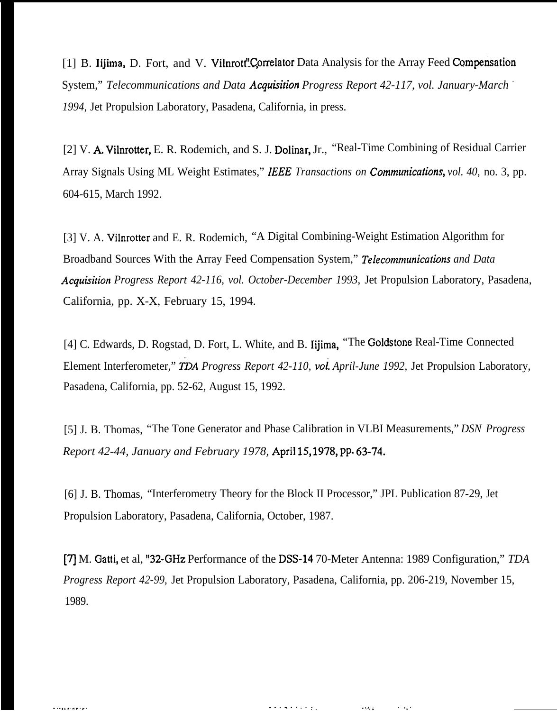[1] B. Iijima, D. Fort, and V. Vilnrott" Correlator Data Analysis for the Array Feed Compensation System," *Telecommunications and Data Acquisition Progress Report 42-117, vol. January-March 1994,* Jet Propulsion Laboratory, Pasadena, California, in press.

[2] V. A Vilnrotter, E. R. Rodemich, and S. J. Dolinar, Jr., "Real-Time Combining of Residual Carrier Array Signals Using ML Weight Estimates," IEEE Transactions on *Communications*, vol. 40, no. 3, pp. 604-615, March 1992.

[3] V. A. Vilnrotter and E. R. Rodemich, "A Digital Combining-Weight Estimation Algorithm for Broadband Sources With the Array Feed Compensation System," *Telecommunications and Data Acquisitwn Progress Report 42-116, vol. October-December 1993,* Jet Propulsion Laboratory, Pasadena, California, pp. X-X, February 15, 1994.

[4] C. Edwards, D. Rogstad, D. Fort, L. White, and B. Iijima, "The Goldstone Real-Time Connected Element Interferometer," *TDA Progress Report 42-110, vol. April-June 1992*, Jet Propulsion Laboratory, Pasadena, California, pp. 52-62, August 15, 1992.

[5] J. B. Thomas, "The Tone Generator and Phase Calibration in VLBI Measurements," *DSN Progress Report 42-44, January and February 1978, April 15, 1978, pp. 63-74.* 

[6] J. B. Thomas, "Interferometry Theory for the Block II Processor," JPL Publication 87-29, Jet Propulsion Laboratory, Pasadena, California, October, 1987.

[7] M. Gatti, et al, "32-GHz Performance of the DSS-14 70-Meter Antenna: 1989 Configuration," *TDA Progress Report 42-99,* Jet Propulsion Laboratory, Pasadena, California, pp. 206-219, November 15, 1989.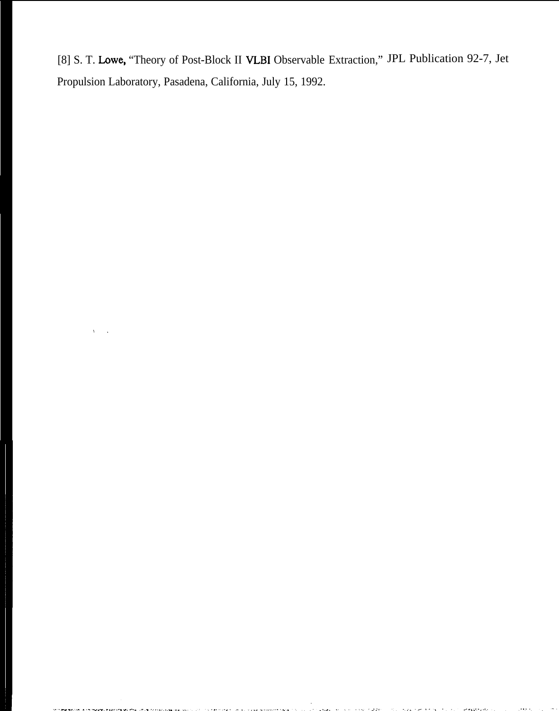[8] S. T. Lowe, "Theory of Post-Block II VLBI Observable Extraction," JPL Publication 92-7, Jet Propulsion Laboratory, Pasadena, California, July 15, 1992.

**A BASIC STAR** 

 $\sim 100$  $\sim$   $\sim$  وفدوخ

 $\mathbf{v}$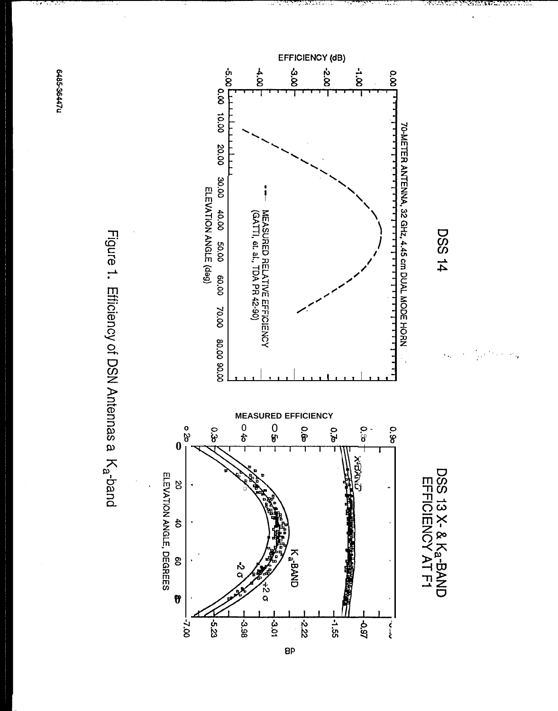**6485-36447u** 

Figure 1. Efficiency of DSN Antennas a K<sub>a</sub>-band

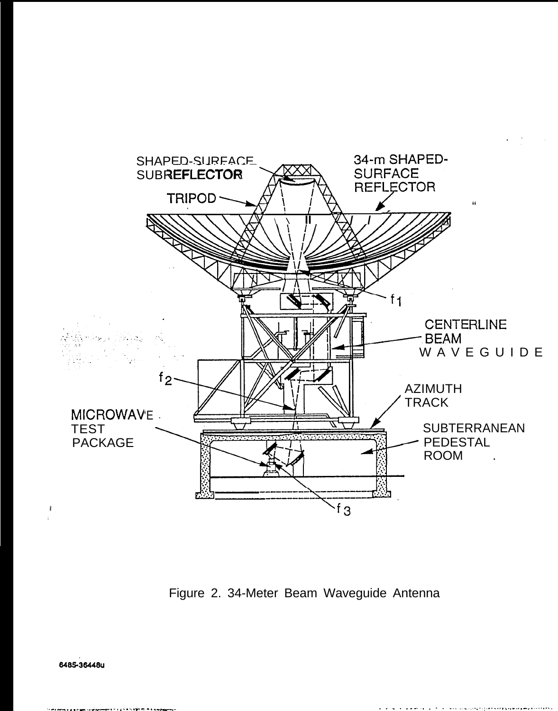

Figure 2. 34-Meter Beam Waveguide Antenna

6485-36448u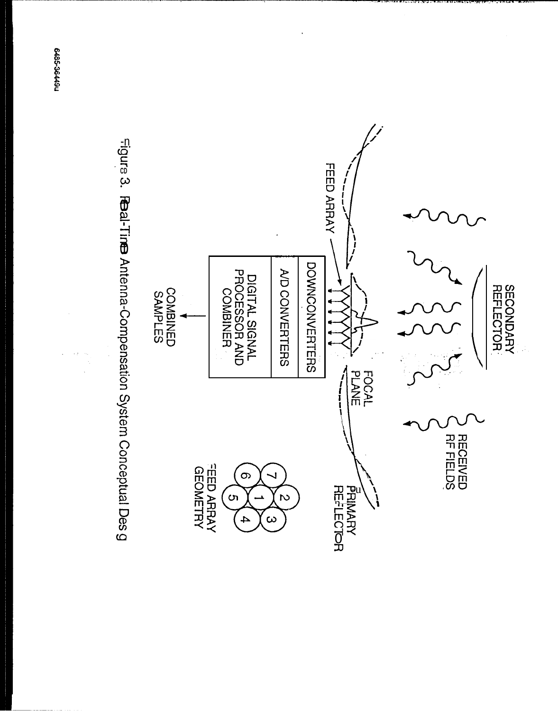



**PG192-3844911**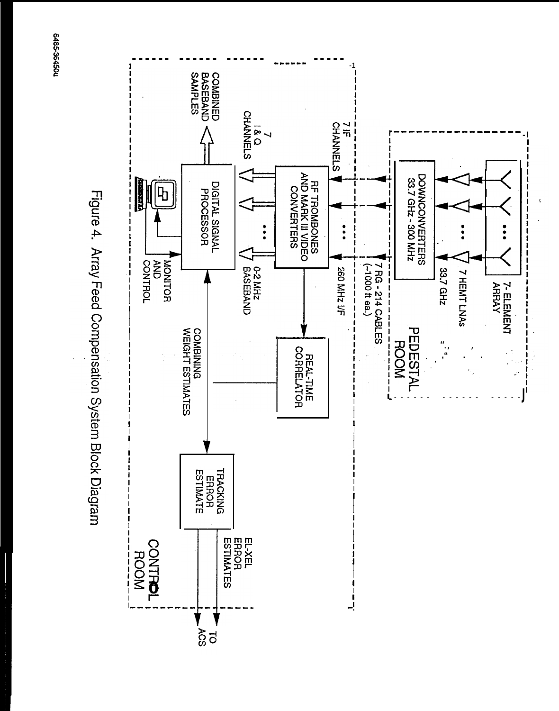

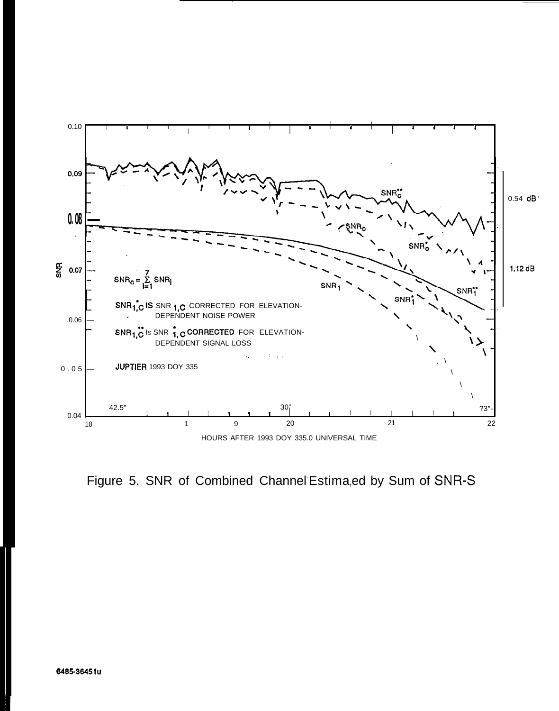

Figure 5. SNR of Combined Channel Estima,ed by Sum of SNR-S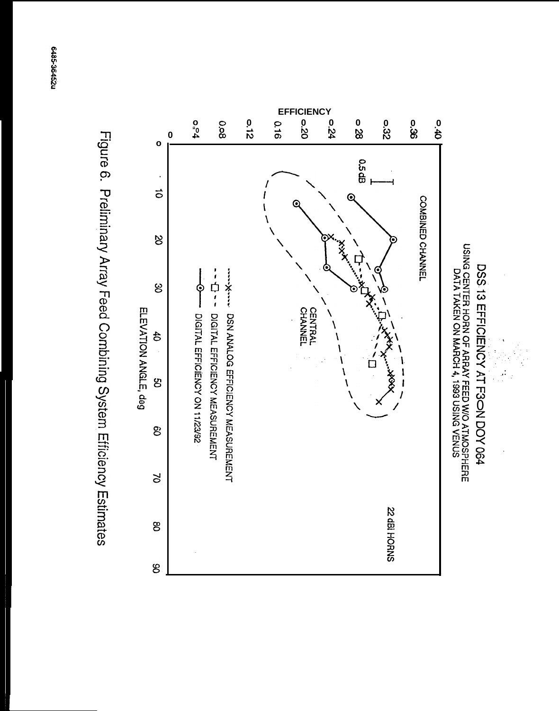

 $\frac{1}{2}$ 

USING CENTER HORN OF ARRAY FEED W/O ATMOSPHERE<br>DATA TAKEN ON MARCH 4, 1993 USING VENUS



Figure 6. Preliminary Array Feed Combining System Efficiency Estimates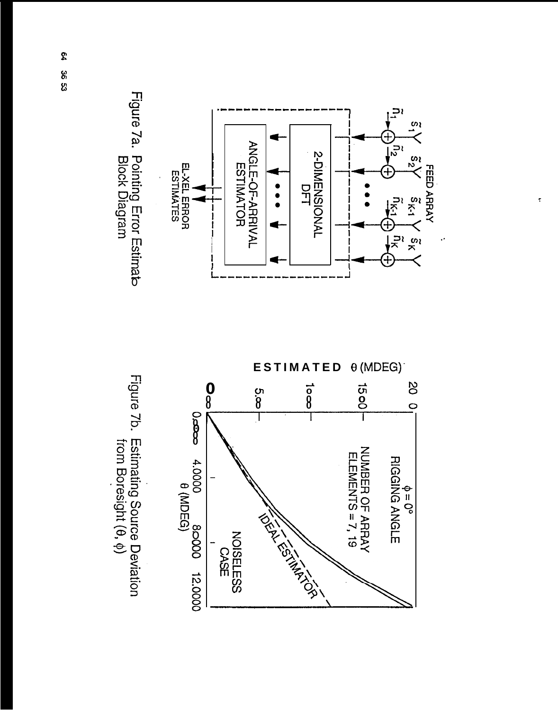

 $\tilde{\mathbf{r}}$ 

Figure 7a. Pointing Error Estimato<br>Block Diagram



Figure 7b. Estimating Source Deviation<br>from Boresight (θ, φ)